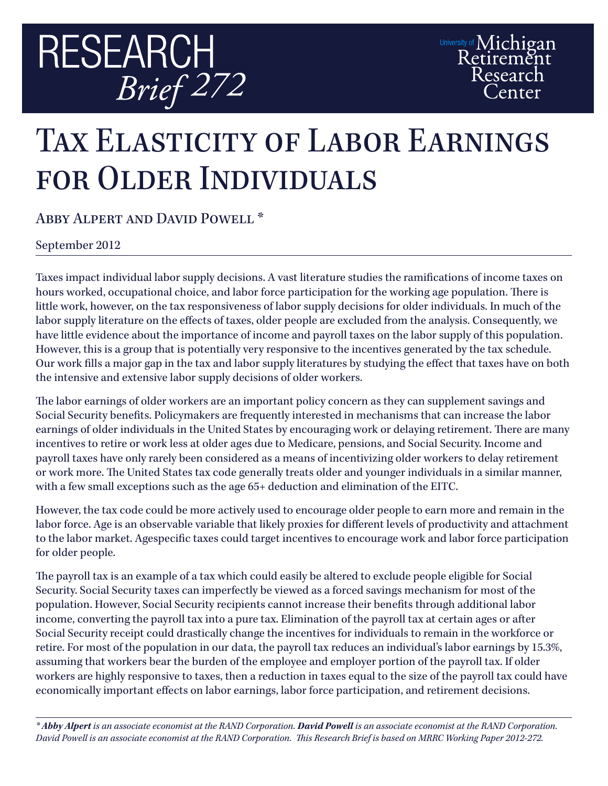

## TAX ELASTICITY OF LABOR EARNINGS for Older Individuals

Abby Alpert and David Powell \*

September 2012

Taxes impact individual labor supply decisions. A vast literature studies the ramifications of income taxes on hours worked, occupational choice, and labor force participation for the working age population. There is little work, however, on the tax responsiveness of labor supply decisions for older individuals. In much of the labor supply literature on the effects of taxes, older people are excluded from the analysis. Consequently, we have little evidence about the importance of income and payroll taxes on the labor supply of this population. However, this is a group that is potentially very responsive to the incentives generated by the tax schedule. Our work fills a major gap in the tax and labor supply literatures by studying the effect that taxes have on both the intensive and extensive labor supply decisions of older workers.

The labor earnings of older workers are an important policy concern as they can supplement savings and Social Security benefits. Policymakers are frequently interested in mechanisms that can increase the labor earnings of older individuals in the United States by encouraging work or delaying retirement. There are many incentives to retire or work less at older ages due to Medicare, pensions, and Social Security. Income and payroll taxes have only rarely been considered as a means of incentivizing older workers to delay retirement or work more. The United States tax code generally treats older and younger individuals in a similar manner, with a few small exceptions such as the age 65+ deduction and elimination of the EITC.

However, the tax code could be more actively used to encourage older people to earn more and remain in the labor force. Age is an observable variable that likely proxies for different levels of productivity and attachment to the labor market. Agespecific taxes could target incentives to encourage work and labor force participation for older people.

The payroll tax is an example of a tax which could easily be altered to exclude people eligible for Social Security. Social Security taxes can imperfectly be viewed as a forced savings mechanism for most of the population. However, Social Security recipients cannot increase their benefits through additional labor income, converting the payroll tax into a pure tax. Elimination of the payroll tax at certain ages or after Social Security receipt could drastically change the incentives for individuals to remain in the workforce or retire. For most of the population in our data, the payroll tax reduces an individual's labor earnings by 15.3%, assuming that workers bear the burden of the employee and employer portion of the payroll tax. If older workers are highly responsive to taxes, then a reduction in taxes equal to the size of the payroll tax could have economically important effects on labor earnings, labor force participation, and retirement decisions.

*\* Abby Alpert is an associate economist at the RAND Corporation. David Powell is an associate economist at the RAND Corporation. David Powell is an associate economist at the RAND Corporation. This Research Brief is based on MRRC Working Paper 2012-272.*